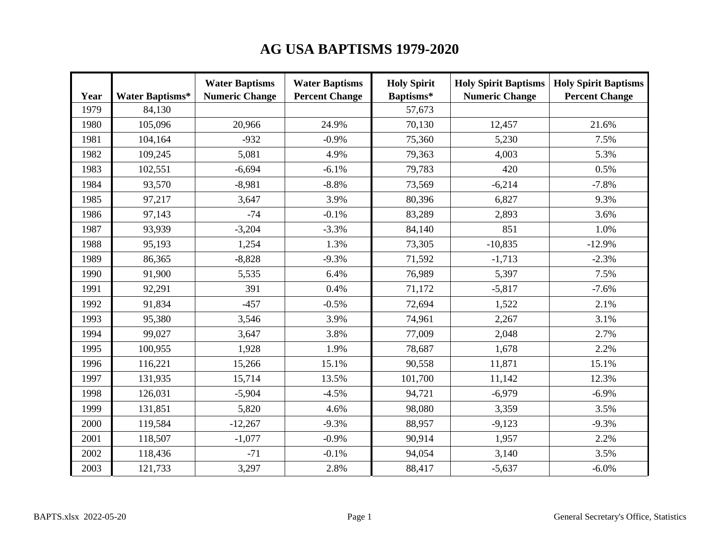## **AG USA BAPTISMS 1979-2020**

| Year | <b>Water Baptisms*</b> | <b>Water Baptisms</b><br><b>Numeric Change</b> | <b>Water Baptisms</b><br><b>Percent Change</b> | <b>Holy Spirit</b><br>Baptisms* | <b>Holy Spirit Baptisms</b><br><b>Numeric Change</b> | <b>Holy Spirit Baptisms</b><br><b>Percent Change</b> |
|------|------------------------|------------------------------------------------|------------------------------------------------|---------------------------------|------------------------------------------------------|------------------------------------------------------|
| 1979 | 84,130                 |                                                |                                                | 57,673                          |                                                      |                                                      |
| 1980 | 105,096                | 20,966                                         | 24.9%                                          | 70,130                          | 12,457                                               | 21.6%                                                |
| 1981 | 104,164                | $-932$                                         | $-0.9%$                                        | 75,360                          | 5,230                                                | 7.5%                                                 |
| 1982 | 109,245                | 5,081                                          | 4.9%                                           | 79,363                          | 4,003                                                | 5.3%                                                 |
| 1983 | 102,551                | $-6,694$                                       | $-6.1%$                                        | 79,783                          | 420                                                  | 0.5%                                                 |
| 1984 | 93,570                 | $-8,981$                                       | $-8.8%$                                        | 73,569                          | $-6,214$                                             | $-7.8%$                                              |
| 1985 | 97,217                 | 3,647                                          | 3.9%                                           | 80,396                          | 6,827                                                | 9.3%                                                 |
| 1986 | 97,143                 | $-74$                                          | $-0.1%$                                        | 83,289                          | 2,893                                                | 3.6%                                                 |
| 1987 | 93,939                 | $-3,204$                                       | $-3.3%$                                        | 84,140                          | 851                                                  | 1.0%                                                 |
| 1988 | 95,193                 | 1,254                                          | 1.3%                                           | 73,305                          | $-10,835$                                            | $-12.9%$                                             |
| 1989 | 86,365                 | $-8,828$                                       | $-9.3%$                                        | 71,592                          | $-1,713$                                             | $-2.3%$                                              |
| 1990 | 91,900                 | 5,535                                          | 6.4%                                           | 76,989                          | 5,397                                                | 7.5%                                                 |
| 1991 | 92,291                 | 391                                            | 0.4%                                           | 71,172                          | $-5,817$                                             | $-7.6%$                                              |
| 1992 | 91,834                 | $-457$                                         | $-0.5%$                                        | 72,694                          | 1,522                                                | 2.1%                                                 |
| 1993 | 95,380                 | 3,546                                          | 3.9%                                           | 74,961                          | 2,267                                                | 3.1%                                                 |
| 1994 | 99,027                 | 3,647                                          | 3.8%                                           | 77,009                          | 2,048                                                | 2.7%                                                 |
| 1995 | 100,955                | 1,928                                          | 1.9%                                           | 78,687                          | 1,678                                                | 2.2%                                                 |
| 1996 | 116,221                | 15,266                                         | 15.1%                                          | 90,558                          | 11,871                                               | 15.1%                                                |
| 1997 | 131,935                | 15,714                                         | 13.5%                                          | 101,700                         | 11,142                                               | 12.3%                                                |
| 1998 | 126,031                | $-5,904$                                       | $-4.5%$                                        | 94,721                          | $-6,979$                                             | $-6.9\%$                                             |
| 1999 | 131,851                | 5,820                                          | 4.6%                                           | 98,080                          | 3,359                                                | 3.5%                                                 |
| 2000 | 119,584                | $-12,267$                                      | $-9.3%$                                        | 88,957                          | $-9,123$                                             | $-9.3%$                                              |
| 2001 | 118,507                | $-1,077$                                       | $-0.9\%$                                       | 90,914                          | 1,957                                                | 2.2%                                                 |
| 2002 | 118,436                | $-71$                                          | $-0.1%$                                        | 94,054                          | 3,140                                                | 3.5%                                                 |
| 2003 | 121,733                | 3,297                                          | 2.8%                                           | 88,417                          | $-5,637$                                             | $-6.0\%$                                             |